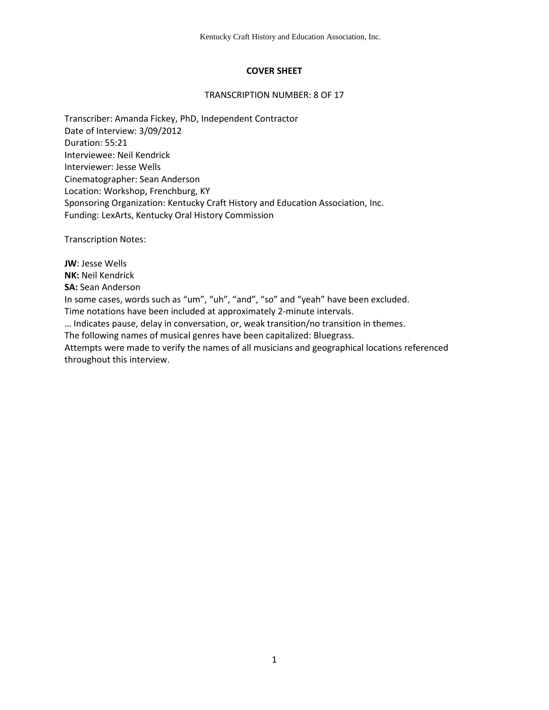## **COVER SHEET**

#### TRANSCRIPTION NUMBER: 8 OF 17

Transcriber: Amanda Fickey, PhD, Independent Contractor Date of Interview: 3/09/2012 Duration: 55:21 Interviewee: Neil Kendrick Interviewer: Jesse Wells Cinematographer: Sean Anderson Location: Workshop, Frenchburg, KY Sponsoring Organization: Kentucky Craft History and Education Association, Inc. Funding: LexArts, Kentucky Oral History Commission

Transcription Notes:

**JW**: Jesse Wells **NK:** Neil Kendrick **SA:** Sean Anderson In some cases, words such as "um", "uh", "and", "so" and "yeah" have been excluded. Time notations have been included at approximately 2-minute intervals. … Indicates pause, delay in conversation, or, weak transition/no transition in themes.

The following names of musical genres have been capitalized: Bluegrass.

Attempts were made to verify the names of all musicians and geographical locations referenced throughout this interview.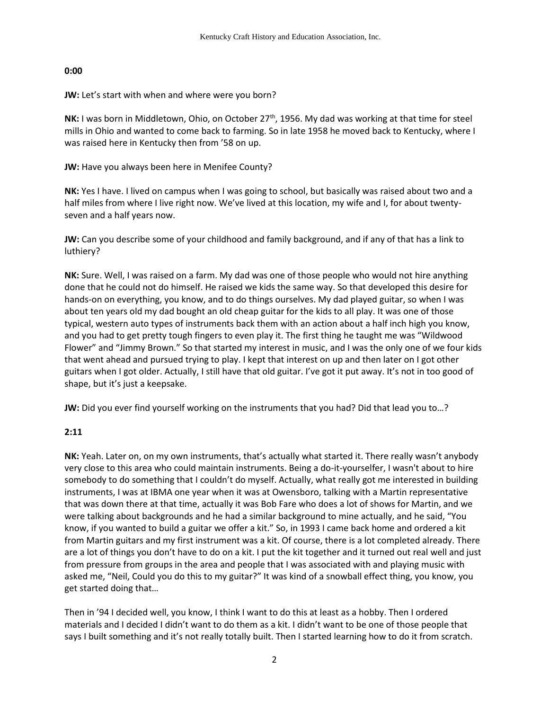### **0:00**

### **JW:** Let's start with when and where were you born?

NK: I was born in Middletown, Ohio, on October 27<sup>th</sup>, 1956. My dad was working at that time for steel mills in Ohio and wanted to come back to farming. So in late 1958 he moved back to Kentucky, where I was raised here in Kentucky then from '58 on up.

## **JW:** Have you always been here in Menifee County?

**NK:** Yes I have. I lived on campus when I was going to school, but basically was raised about two and a half miles from where I live right now. We've lived at this location, my wife and I, for about twentyseven and a half years now.

**JW:** Can you describe some of your childhood and family background, and if any of that has a link to luthiery?

**NK:** Sure. Well, I was raised on a farm. My dad was one of those people who would not hire anything done that he could not do himself. He raised we kids the same way. So that developed this desire for hands-on on everything, you know, and to do things ourselves. My dad played guitar, so when I was about ten years old my dad bought an old cheap guitar for the kids to all play. It was one of those typical, western auto types of instruments back them with an action about a half inch high you know, and you had to get pretty tough fingers to even play it. The first thing he taught me was "Wildwood Flower" and "Jimmy Brown." So that started my interest in music, and I was the only one of we four kids that went ahead and pursued trying to play. I kept that interest on up and then later on I got other guitars when I got older. Actually, I still have that old guitar. I've got it put away. It's not in too good of shape, but it's just a keepsake.

**JW:** Did you ever find yourself working on the instruments that you had? Did that lead you to…?

# **2:11**

**NK:** Yeah. Later on, on my own instruments, that's actually what started it. There really wasn't anybody very close to this area who could maintain instruments. Being a do-it-yourselfer, I wasn't about to hire somebody to do something that I couldn't do myself. Actually, what really got me interested in building instruments, I was at IBMA one year when it was at Owensboro, talking with a Martin representative that was down there at that time, actually it was Bob Fare who does a lot of shows for Martin, and we were talking about backgrounds and he had a similar background to mine actually, and he said, "You know, if you wanted to build a guitar we offer a kit." So, in 1993 I came back home and ordered a kit from Martin guitars and my first instrument was a kit. Of course, there is a lot completed already. There are a lot of things you don't have to do on a kit. I put the kit together and it turned out real well and just from pressure from groups in the area and people that I was associated with and playing music with asked me, "Neil, Could you do this to my guitar?" It was kind of a snowball effect thing, you know, you get started doing that…

Then in '94 I decided well, you know, I think I want to do this at least as a hobby. Then I ordered materials and I decided I didn't want to do them as a kit. I didn't want to be one of those people that says I built something and it's not really totally built. Then I started learning how to do it from scratch.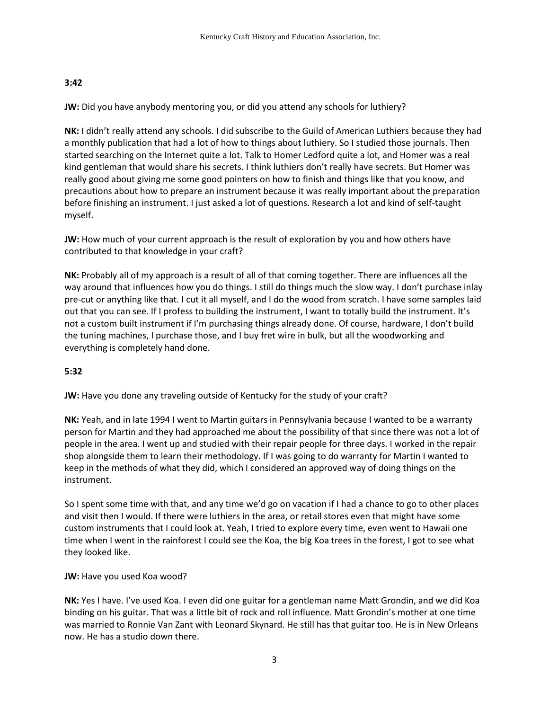## **3:42**

**JW:** Did you have anybody mentoring you, or did you attend any schools for luthiery?

**NK:** I didn't really attend any schools. I did subscribe to the Guild of American Luthiers because they had a monthly publication that had a lot of how to things about luthiery. So I studied those journals. Then started searching on the Internet quite a lot. Talk to Homer Ledford quite a lot, and Homer was a real kind gentleman that would share his secrets. I think luthiers don't really have secrets. But Homer was really good about giving me some good pointers on how to finish and things like that you know, and precautions about how to prepare an instrument because it was really important about the preparation before finishing an instrument. I just asked a lot of questions. Research a lot and kind of self-taught myself.

**JW:** How much of your current approach is the result of exploration by you and how others have contributed to that knowledge in your craft?

**NK:** Probably all of my approach is a result of all of that coming together. There are influences all the way around that influences how you do things. I still do things much the slow way. I don't purchase inlay pre-cut or anything like that. I cut it all myself, and I do the wood from scratch. I have some samples laid out that you can see. If I profess to building the instrument, I want to totally build the instrument. It's not a custom built instrument if I'm purchasing things already done. Of course, hardware, I don't build the tuning machines, I purchase those, and I buy fret wire in bulk, but all the woodworking and everything is completely hand done.

# **5:32**

**JW:** Have you done any traveling outside of Kentucky for the study of your craft?

**NK:** Yeah, and in late 1994 I went to Martin guitars in Pennsylvania because I wanted to be a warranty person for Martin and they had approached me about the possibility of that since there was not a lot of people in the area. I went up and studied with their repair people for three days. I worked in the repair shop alongside them to learn their methodology. If I was going to do warranty for Martin I wanted to keep in the methods of what they did, which I considered an approved way of doing things on the instrument.

So I spent some time with that, and any time we'd go on vacation if I had a chance to go to other places and visit then I would. If there were luthiers in the area, or retail stores even that might have some custom instruments that I could look at. Yeah, I tried to explore every time, even went to Hawaii one time when I went in the rainforest I could see the Koa, the big Koa trees in the forest, I got to see what they looked like.

### **JW:** Have you used Koa wood?

**NK:** Yes I have. I've used Koa. I even did one guitar for a gentleman name Matt Grondin, and we did Koa binding on his guitar. That was a little bit of rock and roll influence. Matt Grondin's mother at one time was married to Ronnie Van Zant with Leonard Skynard. He still has that guitar too. He is in New Orleans now. He has a studio down there.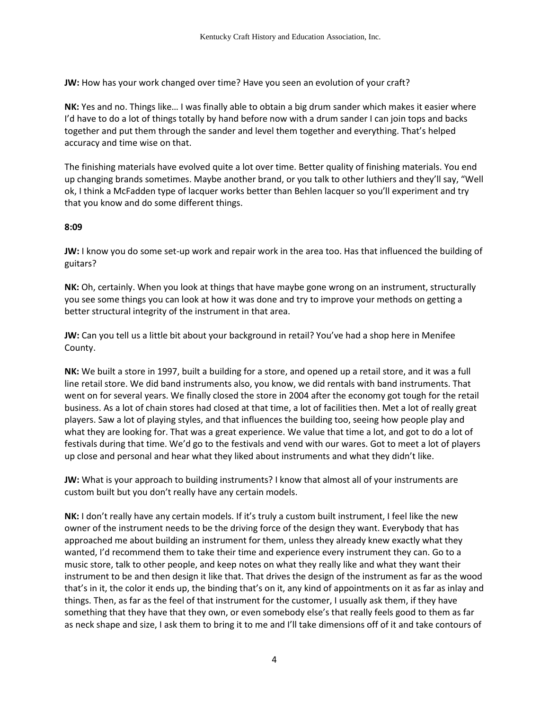**JW:** How has your work changed over time? Have you seen an evolution of your craft?

**NK:** Yes and no. Things like… I was finally able to obtain a big drum sander which makes it easier where I'd have to do a lot of things totally by hand before now with a drum sander I can join tops and backs together and put them through the sander and level them together and everything. That's helped accuracy and time wise on that.

The finishing materials have evolved quite a lot over time. Better quality of finishing materials. You end up changing brands sometimes. Maybe another brand, or you talk to other luthiers and they'll say, "Well ok, I think a McFadden type of lacquer works better than Behlen lacquer so you'll experiment and try that you know and do some different things.

### **8:09**

**JW:** I know you do some set-up work and repair work in the area too. Has that influenced the building of guitars?

**NK:** Oh, certainly. When you look at things that have maybe gone wrong on an instrument, structurally you see some things you can look at how it was done and try to improve your methods on getting a better structural integrity of the instrument in that area.

**JW:** Can you tell us a little bit about your background in retail? You've had a shop here in Menifee County.

**NK:** We built a store in 1997, built a building for a store, and opened up a retail store, and it was a full line retail store. We did band instruments also, you know, we did rentals with band instruments. That went on for several years. We finally closed the store in 2004 after the economy got tough for the retail business. As a lot of chain stores had closed at that time, a lot of facilities then. Met a lot of really great players. Saw a lot of playing styles, and that influences the building too, seeing how people play and what they are looking for. That was a great experience. We value that time a lot, and got to do a lot of festivals during that time. We'd go to the festivals and vend with our wares. Got to meet a lot of players up close and personal and hear what they liked about instruments and what they didn't like.

**JW:** What is your approach to building instruments? I know that almost all of your instruments are custom built but you don't really have any certain models.

**NK:** I don't really have any certain models. If it's truly a custom built instrument, I feel like the new owner of the instrument needs to be the driving force of the design they want. Everybody that has approached me about building an instrument for them, unless they already knew exactly what they wanted, I'd recommend them to take their time and experience every instrument they can. Go to a music store, talk to other people, and keep notes on what they really like and what they want their instrument to be and then design it like that. That drives the design of the instrument as far as the wood that's in it, the color it ends up, the binding that's on it, any kind of appointments on it as far as inlay and things. Then, as far as the feel of that instrument for the customer, I usually ask them, if they have something that they have that they own, or even somebody else's that really feels good to them as far as neck shape and size, I ask them to bring it to me and I'll take dimensions off of it and take contours of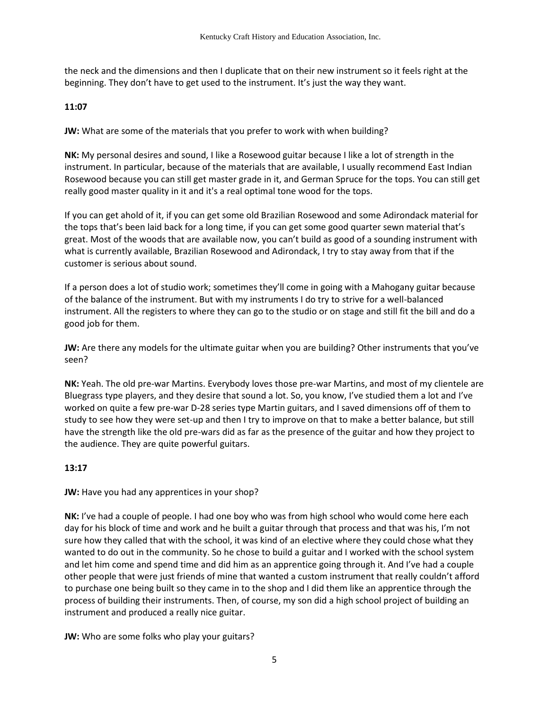the neck and the dimensions and then I duplicate that on their new instrument so it feels right at the beginning. They don't have to get used to the instrument. It's just the way they want.

### **11:07**

**JW:** What are some of the materials that you prefer to work with when building?

**NK:** My personal desires and sound, I like a Rosewood guitar because I like a lot of strength in the instrument. In particular, because of the materials that are available, I usually recommend East Indian Rosewood because you can still get master grade in it, and German Spruce for the tops. You can still get really good master quality in it and it's a real optimal tone wood for the tops.

If you can get ahold of it, if you can get some old Brazilian Rosewood and some Adirondack material for the tops that's been laid back for a long time, if you can get some good quarter sewn material that's great. Most of the woods that are available now, you can't build as good of a sounding instrument with what is currently available, Brazilian Rosewood and Adirondack, I try to stay away from that if the customer is serious about sound.

If a person does a lot of studio work; sometimes they'll come in going with a Mahogany guitar because of the balance of the instrument. But with my instruments I do try to strive for a well-balanced instrument. All the registers to where they can go to the studio or on stage and still fit the bill and do a good job for them.

**JW:** Are there any models for the ultimate guitar when you are building? Other instruments that you've seen?

**NK:** Yeah. The old pre-war Martins. Everybody loves those pre-war Martins, and most of my clientele are Bluegrass type players, and they desire that sound a lot. So, you know, I've studied them a lot and I've worked on quite a few pre-war D-28 series type Martin guitars, and I saved dimensions off of them to study to see how they were set-up and then I try to improve on that to make a better balance, but still have the strength like the old pre-wars did as far as the presence of the guitar and how they project to the audience. They are quite powerful guitars.

### **13:17**

**JW:** Have you had any apprentices in your shop?

**NK:** I've had a couple of people. I had one boy who was from high school who would come here each day for his block of time and work and he built a guitar through that process and that was his, I'm not sure how they called that with the school, it was kind of an elective where they could chose what they wanted to do out in the community. So he chose to build a guitar and I worked with the school system and let him come and spend time and did him as an apprentice going through it. And I've had a couple other people that were just friends of mine that wanted a custom instrument that really couldn't afford to purchase one being built so they came in to the shop and I did them like an apprentice through the process of building their instruments. Then, of course, my son did a high school project of building an instrument and produced a really nice guitar.

**JW:** Who are some folks who play your guitars?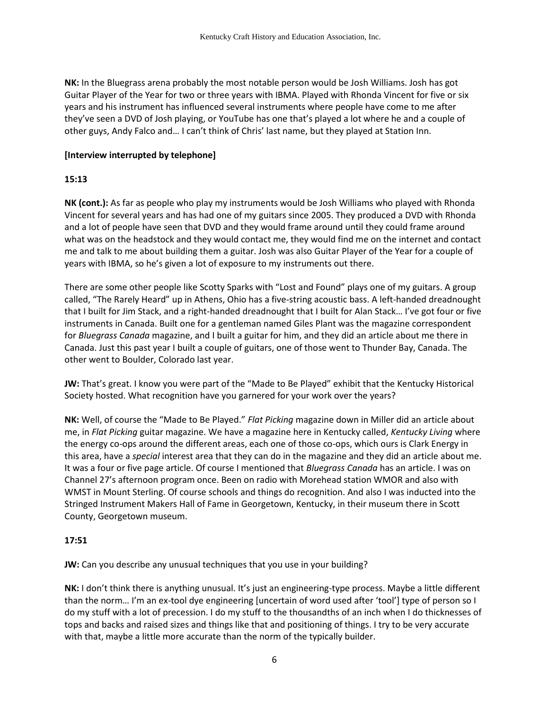**NK:** In the Bluegrass arena probably the most notable person would be Josh Williams. Josh has got Guitar Player of the Year for two or three years with IBMA. Played with Rhonda Vincent for five or six years and his instrument has influenced several instruments where people have come to me after they've seen a DVD of Josh playing, or YouTube has one that's played a lot where he and a couple of other guys, Andy Falco and… I can't think of Chris' last name, but they played at Station Inn.

### **[Interview interrupted by telephone]**

## **15:13**

**NK (cont.):** As far as people who play my instruments would be Josh Williams who played with Rhonda Vincent for several years and has had one of my guitars since 2005. They produced a DVD with Rhonda and a lot of people have seen that DVD and they would frame around until they could frame around what was on the headstock and they would contact me, they would find me on the internet and contact me and talk to me about building them a guitar. Josh was also Guitar Player of the Year for a couple of years with IBMA, so he's given a lot of exposure to my instruments out there.

There are some other people like Scotty Sparks with "Lost and Found" plays one of my guitars. A group called, "The Rarely Heard" up in Athens, Ohio has a five-string acoustic bass. A left-handed dreadnought that I built for Jim Stack, and a right-handed dreadnought that I built for Alan Stack… I've got four or five instruments in Canada. Built one for a gentleman named Giles Plant was the magazine correspondent for *Bluegrass Canada* magazine, and I built a guitar for him, and they did an article about me there in Canada. Just this past year I built a couple of guitars, one of those went to Thunder Bay, Canada. The other went to Boulder, Colorado last year.

**JW:** That's great. I know you were part of the "Made to Be Played" exhibit that the Kentucky Historical Society hosted. What recognition have you garnered for your work over the years?

**NK:** Well, of course the "Made to Be Played." *Flat Picking* magazine down in Miller did an article about me, in *Flat Picking* guitar magazine. We have a magazine here in Kentucky called, *Kentucky Living* where the energy co-ops around the different areas, each one of those co-ops, which ours is Clark Energy in this area, have a *special* interest area that they can do in the magazine and they did an article about me. It was a four or five page article. Of course I mentioned that *Bluegrass Canada* has an article. I was on Channel 27's afternoon program once. Been on radio with Morehead station WMOR and also with WMST in Mount Sterling. Of course schools and things do recognition. And also I was inducted into the Stringed Instrument Makers Hall of Fame in Georgetown, Kentucky, in their museum there in Scott County, Georgetown museum.

# **17:51**

**JW:** Can you describe any unusual techniques that you use in your building?

**NK:** I don't think there is anything unusual. It's just an engineering-type process. Maybe a little different than the norm… I'm an ex-tool dye engineering [uncertain of word used after 'tool'] type of person so I do my stuff with a lot of precession. I do my stuff to the thousandths of an inch when I do thicknesses of tops and backs and raised sizes and things like that and positioning of things. I try to be very accurate with that, maybe a little more accurate than the norm of the typically builder.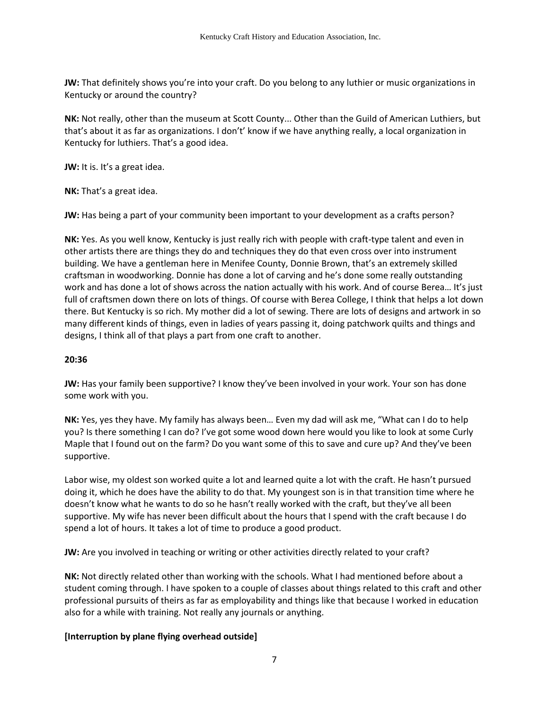**JW:** That definitely shows you're into your craft. Do you belong to any luthier or music organizations in Kentucky or around the country?

**NK:** Not really, other than the museum at Scott County... Other than the Guild of American Luthiers, but that's about it as far as organizations. I don't' know if we have anything really, a local organization in Kentucky for luthiers. That's a good idea.

**JW:** It is. It's a great idea.

**NK:** That's a great idea.

**JW:** Has being a part of your community been important to your development as a crafts person?

**NK:** Yes. As you well know, Kentucky is just really rich with people with craft-type talent and even in other artists there are things they do and techniques they do that even cross over into instrument building. We have a gentleman here in Menifee County, Donnie Brown, that's an extremely skilled craftsman in woodworking. Donnie has done a lot of carving and he's done some really outstanding work and has done a lot of shows across the nation actually with his work. And of course Berea… It's just full of craftsmen down there on lots of things. Of course with Berea College, I think that helps a lot down there. But Kentucky is so rich. My mother did a lot of sewing. There are lots of designs and artwork in so many different kinds of things, even in ladies of years passing it, doing patchwork quilts and things and designs, I think all of that plays a part from one craft to another.

### **20:36**

**JW:** Has your family been supportive? I know they've been involved in your work. Your son has done some work with you.

**NK:** Yes, yes they have. My family has always been… Even my dad will ask me, "What can I do to help you? Is there something I can do? I've got some wood down here would you like to look at some Curly Maple that I found out on the farm? Do you want some of this to save and cure up? And they've been supportive.

Labor wise, my oldest son worked quite a lot and learned quite a lot with the craft. He hasn't pursued doing it, which he does have the ability to do that. My youngest son is in that transition time where he doesn't know what he wants to do so he hasn't really worked with the craft, but they've all been supportive. My wife has never been difficult about the hours that I spend with the craft because I do spend a lot of hours. It takes a lot of time to produce a good product.

**JW:** Are you involved in teaching or writing or other activities directly related to your craft?

**NK:** Not directly related other than working with the schools. What I had mentioned before about a student coming through. I have spoken to a couple of classes about things related to this craft and other professional pursuits of theirs as far as employability and things like that because I worked in education also for a while with training. Not really any journals or anything.

### **[Interruption by plane flying overhead outside]**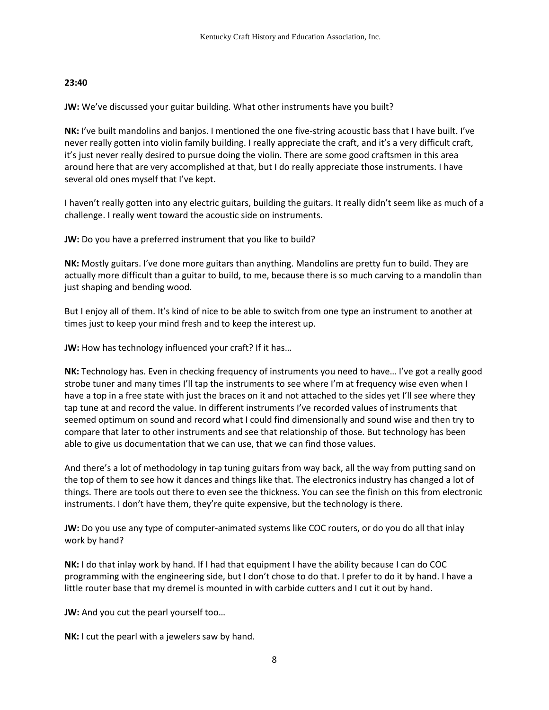## **23:40**

**JW:** We've discussed your guitar building. What other instruments have you built?

**NK:** I've built mandolins and banjos. I mentioned the one five-string acoustic bass that I have built. I've never really gotten into violin family building. I really appreciate the craft, and it's a very difficult craft, it's just never really desired to pursue doing the violin. There are some good craftsmen in this area around here that are very accomplished at that, but I do really appreciate those instruments. I have several old ones myself that I've kept.

I haven't really gotten into any electric guitars, building the guitars. It really didn't seem like as much of a challenge. I really went toward the acoustic side on instruments.

**JW:** Do you have a preferred instrument that you like to build?

**NK:** Mostly guitars. I've done more guitars than anything. Mandolins are pretty fun to build. They are actually more difficult than a guitar to build, to me, because there is so much carving to a mandolin than just shaping and bending wood.

But I enjoy all of them. It's kind of nice to be able to switch from one type an instrument to another at times just to keep your mind fresh and to keep the interest up.

**JW:** How has technology influenced your craft? If it has…

**NK:** Technology has. Even in checking frequency of instruments you need to have… I've got a really good strobe tuner and many times I'll tap the instruments to see where I'm at frequency wise even when I have a top in a free state with just the braces on it and not attached to the sides yet I'll see where they tap tune at and record the value. In different instruments I've recorded values of instruments that seemed optimum on sound and record what I could find dimensionally and sound wise and then try to compare that later to other instruments and see that relationship of those. But technology has been able to give us documentation that we can use, that we can find those values.

And there's a lot of methodology in tap tuning guitars from way back, all the way from putting sand on the top of them to see how it dances and things like that. The electronics industry has changed a lot of things. There are tools out there to even see the thickness. You can see the finish on this from electronic instruments. I don't have them, they're quite expensive, but the technology is there.

**JW:** Do you use any type of computer-animated systems like COC routers, or do you do all that inlay work by hand?

**NK:** I do that inlay work by hand. If I had that equipment I have the ability because I can do COC programming with the engineering side, but I don't chose to do that. I prefer to do it by hand. I have a little router base that my dremel is mounted in with carbide cutters and I cut it out by hand.

**JW:** And you cut the pearl yourself too...

**NK:** I cut the pearl with a jewelers saw by hand.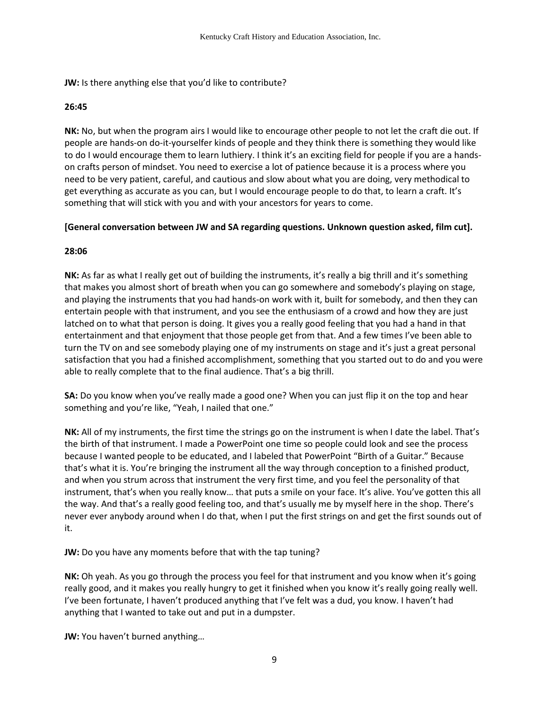**JW:** Is there anything else that you'd like to contribute?

### **26:45**

**NK:** No, but when the program airs I would like to encourage other people to not let the craft die out. If people are hands-on do-it-yourselfer kinds of people and they think there is something they would like to do I would encourage them to learn luthiery. I think it's an exciting field for people if you are a handson crafts person of mindset. You need to exercise a lot of patience because it is a process where you need to be very patient, careful, and cautious and slow about what you are doing, very methodical to get everything as accurate as you can, but I would encourage people to do that, to learn a craft. It's something that will stick with you and with your ancestors for years to come.

## **[General conversation between JW and SA regarding questions. Unknown question asked, film cut].**

## **28:06**

**NK:** As far as what I really get out of building the instruments, it's really a big thrill and it's something that makes you almost short of breath when you can go somewhere and somebody's playing on stage, and playing the instruments that you had hands-on work with it, built for somebody, and then they can entertain people with that instrument, and you see the enthusiasm of a crowd and how they are just latched on to what that person is doing. It gives you a really good feeling that you had a hand in that entertainment and that enjoyment that those people get from that. And a few times I've been able to turn the TV on and see somebody playing one of my instruments on stage and it's just a great personal satisfaction that you had a finished accomplishment, something that you started out to do and you were able to really complete that to the final audience. That's a big thrill.

**SA:** Do you know when you've really made a good one? When you can just flip it on the top and hear something and you're like, "Yeah, I nailed that one."

**NK:** All of my instruments, the first time the strings go on the instrument is when I date the label. That's the birth of that instrument. I made a PowerPoint one time so people could look and see the process because I wanted people to be educated, and I labeled that PowerPoint "Birth of a Guitar." Because that's what it is. You're bringing the instrument all the way through conception to a finished product, and when you strum across that instrument the very first time, and you feel the personality of that instrument, that's when you really know… that puts a smile on your face. It's alive. You've gotten this all the way. And that's a really good feeling too, and that's usually me by myself here in the shop. There's never ever anybody around when I do that, when I put the first strings on and get the first sounds out of it.

**JW:** Do you have any moments before that with the tap tuning?

**NK:** Oh yeah. As you go through the process you feel for that instrument and you know when it's going really good, and it makes you really hungry to get it finished when you know it's really going really well. I've been fortunate, I haven't produced anything that I've felt was a dud, you know. I haven't had anything that I wanted to take out and put in a dumpster.

**JW:** You haven't burned anything…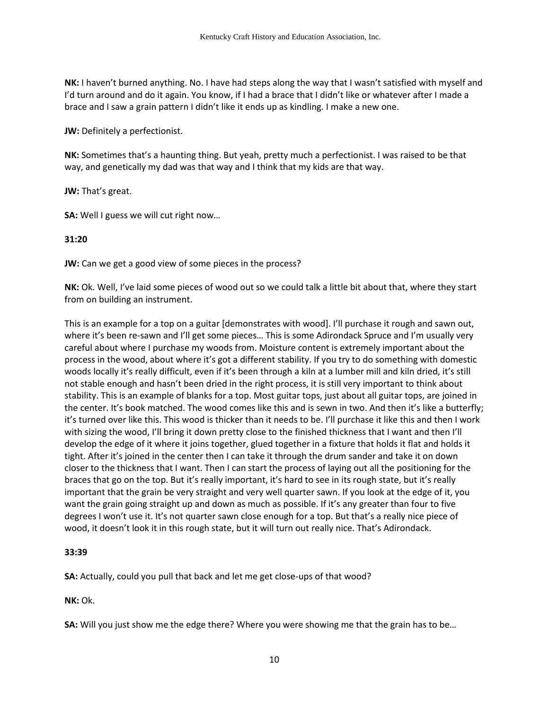**NK:** I haven't burned anything. No. I have had steps along the way that I wasn't satisfied with myself and I'd turn around and do it again. You know, if I had a brace that I didn't like or whatever after I made a brace and I saw a grain pattern I didn't like it ends up as kindling. I make a new one.

**JW:** Definitely a perfectionist.

**NK:** Sometimes that's a haunting thing. But yeah, pretty much a perfectionist. I was raised to be that way, and genetically my dad was that way and I think that my kids are that way.

**JW:** That's great.

**SA:** Well I guess we will cut right now…

#### **31:20**

**JW:** Can we get a good view of some pieces in the process?

**NK:** Ok. Well, I've laid some pieces of wood out so we could talk a little bit about that, where they start from on building an instrument.

This is an example for a top on a guitar [demonstrates with wood]. I'll purchase it rough and sawn out, where it's been re-sawn and I'll get some pieces... This is some Adirondack Spruce and I'm usually very careful about where I purchase my woods from. Moisture content is extremely important about the process in the wood, about where it's got a different stability. If you try to do something with domestic woods locally it's really difficult, even if it's been through a kiln at a lumber mill and kiln dried, it's still not stable enough and hasn't been dried in the right process, it is still very important to think about stability. This is an example of blanks for a top. Most guitar tops, just about all guitar tops, are joined in the center. It's book matched. The wood comes like this and is sewn in two. And then it's like a butterfly; it's turned over like this. This wood is thicker than it needs to be. I'll purchase it like this and then I work with sizing the wood, I'll bring it down pretty close to the finished thickness that I want and then I'll develop the edge of it where it joins together, glued together in a fixture that holds it flat and holds it tight. After it's joined in the center then I can take it through the drum sander and take it on down closer to the thickness that I want. Then I can start the process of laying out all the positioning for the braces that go on the top. But it's really important, it's hard to see in its rough state, but it's really important that the grain be very straight and very well quarter sawn. If you look at the edge of it, you want the grain going straight up and down as much as possible. If it's any greater than four to five degrees I won't use it. It's not quarter sawn close enough for a top. But that's a really nice piece of wood, it doesn't look it in this rough state, but it will turn out really nice. That's Adirondack.

### **33:39**

**SA:** Actually, could you pull that back and let me get close-ups of that wood?

**NK:** Ok.

**SA:** Will you just show me the edge there? Where you were showing me that the grain has to be…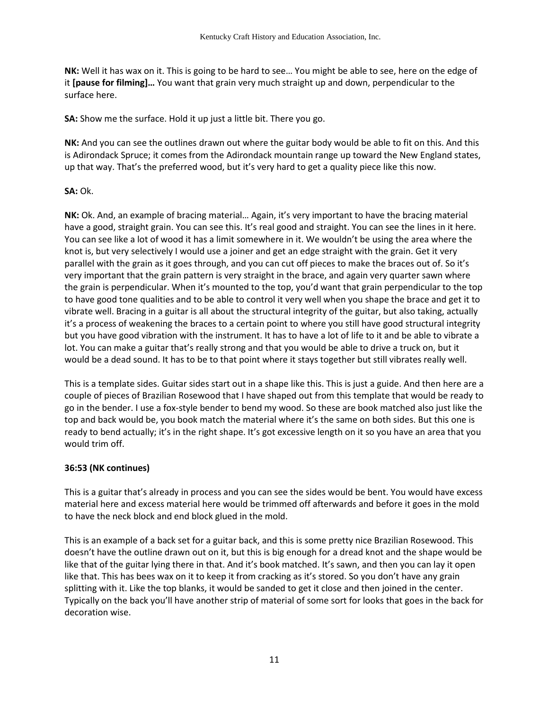**NK:** Well it has wax on it. This is going to be hard to see… You might be able to see, here on the edge of it **[pause for filming]…** You want that grain very much straight up and down, perpendicular to the surface here.

**SA:** Show me the surface. Hold it up just a little bit. There you go.

**NK:** And you can see the outlines drawn out where the guitar body would be able to fit on this. And this is Adirondack Spruce; it comes from the Adirondack mountain range up toward the New England states, up that way. That's the preferred wood, but it's very hard to get a quality piece like this now.

## **SA:** Ok.

**NK:** Ok. And, an example of bracing material… Again, it's very important to have the bracing material have a good, straight grain. You can see this. It's real good and straight. You can see the lines in it here. You can see like a lot of wood it has a limit somewhere in it. We wouldn't be using the area where the knot is, but very selectively I would use a joiner and get an edge straight with the grain. Get it very parallel with the grain as it goes through, and you can cut off pieces to make the braces out of. So it's very important that the grain pattern is very straight in the brace, and again very quarter sawn where the grain is perpendicular. When it's mounted to the top, you'd want that grain perpendicular to the top to have good tone qualities and to be able to control it very well when you shape the brace and get it to vibrate well. Bracing in a guitar is all about the structural integrity of the guitar, but also taking, actually it's a process of weakening the braces to a certain point to where you still have good structural integrity but you have good vibration with the instrument. It has to have a lot of life to it and be able to vibrate a lot. You can make a guitar that's really strong and that you would be able to drive a truck on, but it would be a dead sound. It has to be to that point where it stays together but still vibrates really well.

This is a template sides. Guitar sides start out in a shape like this. This is just a guide. And then here are a couple of pieces of Brazilian Rosewood that I have shaped out from this template that would be ready to go in the bender. I use a fox-style bender to bend my wood. So these are book matched also just like the top and back would be, you book match the material where it's the same on both sides. But this one is ready to bend actually; it's in the right shape. It's got excessive length on it so you have an area that you would trim off.

### **36:53 (NK continues)**

This is a guitar that's already in process and you can see the sides would be bent. You would have excess material here and excess material here would be trimmed off afterwards and before it goes in the mold to have the neck block and end block glued in the mold.

This is an example of a back set for a guitar back, and this is some pretty nice Brazilian Rosewood. This doesn't have the outline drawn out on it, but this is big enough for a dread knot and the shape would be like that of the guitar lying there in that. And it's book matched. It's sawn, and then you can lay it open like that. This has bees wax on it to keep it from cracking as it's stored. So you don't have any grain splitting with it. Like the top blanks, it would be sanded to get it close and then joined in the center. Typically on the back you'll have another strip of material of some sort for looks that goes in the back for decoration wise.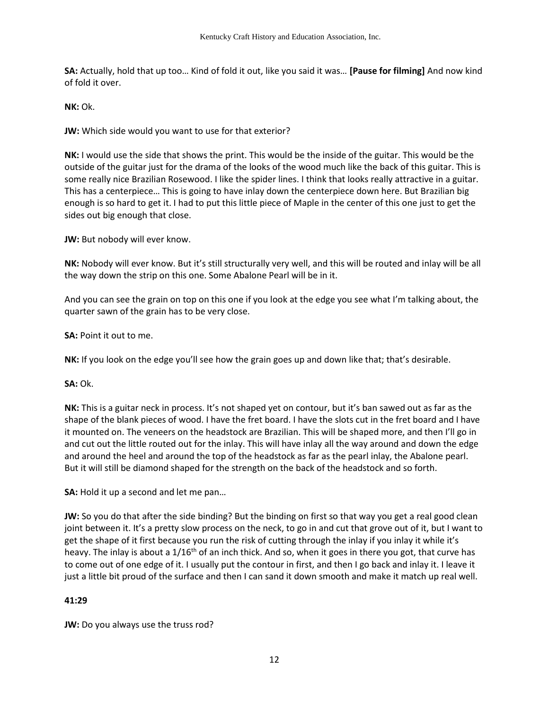**SA:** Actually, hold that up too… Kind of fold it out, like you said it was… **[Pause for filming]** And now kind of fold it over.

**NK:** Ok.

**JW:** Which side would you want to use for that exterior?

**NK:** I would use the side that shows the print. This would be the inside of the guitar. This would be the outside of the guitar just for the drama of the looks of the wood much like the back of this guitar. This is some really nice Brazilian Rosewood. I like the spider lines. I think that looks really attractive in a guitar. This has a centerpiece… This is going to have inlay down the centerpiece down here. But Brazilian big enough is so hard to get it. I had to put this little piece of Maple in the center of this one just to get the sides out big enough that close.

**JW:** But nobody will ever know.

**NK:** Nobody will ever know. But it's still structurally very well, and this will be routed and inlay will be all the way down the strip on this one. Some Abalone Pearl will be in it.

And you can see the grain on top on this one if you look at the edge you see what I'm talking about, the quarter sawn of the grain has to be very close.

**SA:** Point it out to me.

**NK:** If you look on the edge you'll see how the grain goes up and down like that; that's desirable.

**SA:** Ok.

**NK:** This is a guitar neck in process. It's not shaped yet on contour, but it's ban sawed out as far as the shape of the blank pieces of wood. I have the fret board. I have the slots cut in the fret board and I have it mounted on. The veneers on the headstock are Brazilian. This will be shaped more, and then I'll go in and cut out the little routed out for the inlay. This will have inlay all the way around and down the edge and around the heel and around the top of the headstock as far as the pearl inlay, the Abalone pearl. But it will still be diamond shaped for the strength on the back of the headstock and so forth.

**SA:** Hold it up a second and let me pan…

**JW:** So you do that after the side binding? But the binding on first so that way you get a real good clean joint between it. It's a pretty slow process on the neck, to go in and cut that grove out of it, but I want to get the shape of it first because you run the risk of cutting through the inlay if you inlay it while it's heavy. The inlay is about a  $1/16$ <sup>th</sup> of an inch thick. And so, when it goes in there you got, that curve has to come out of one edge of it. I usually put the contour in first, and then I go back and inlay it. I leave it just a little bit proud of the surface and then I can sand it down smooth and make it match up real well.

### **41:29**

**JW:** Do you always use the truss rod?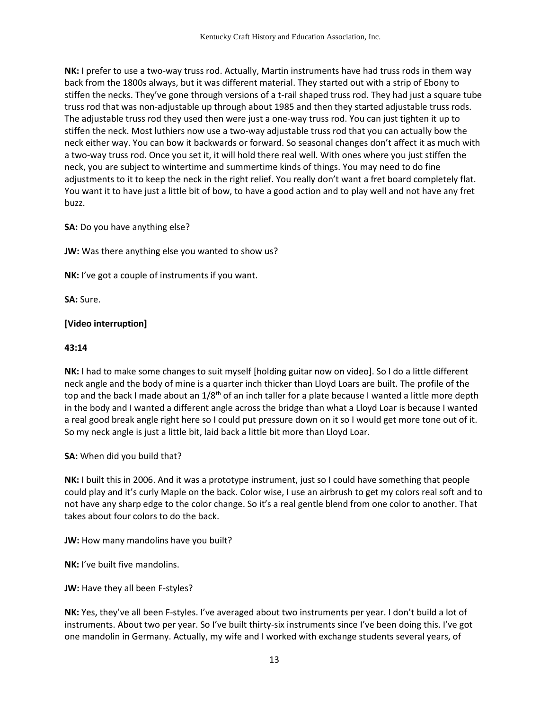**NK:** I prefer to use a two-way truss rod. Actually, Martin instruments have had truss rods in them way back from the 1800s always, but it was different material. They started out with a strip of Ebony to stiffen the necks. They've gone through versions of a t-rail shaped truss rod. They had just a square tube truss rod that was non-adjustable up through about 1985 and then they started adjustable truss rods. The adjustable truss rod they used then were just a one-way truss rod. You can just tighten it up to stiffen the neck. Most luthiers now use a two-way adjustable truss rod that you can actually bow the neck either way. You can bow it backwards or forward. So seasonal changes don't affect it as much with a two-way truss rod. Once you set it, it will hold there real well. With ones where you just stiffen the neck, you are subject to wintertime and summertime kinds of things. You may need to do fine adjustments to it to keep the neck in the right relief. You really don't want a fret board completely flat. You want it to have just a little bit of bow, to have a good action and to play well and not have any fret buzz.

**SA:** Do you have anything else?

**JW:** Was there anything else you wanted to show us?

**NK:** I've got a couple of instruments if you want.

**SA:** Sure.

### **[Video interruption]**

### **43:14**

**NK:** I had to make some changes to suit myself [holding guitar now on video]. So I do a little different neck angle and the body of mine is a quarter inch thicker than Lloyd Loars are built. The profile of the top and the back I made about an  $1/8<sup>th</sup>$  of an inch taller for a plate because I wanted a little more depth in the body and I wanted a different angle across the bridge than what a Lloyd Loar is because I wanted a real good break angle right here so I could put pressure down on it so I would get more tone out of it. So my neck angle is just a little bit, laid back a little bit more than Lloyd Loar.

**SA:** When did you build that?

**NK:** I built this in 2006. And it was a prototype instrument, just so I could have something that people could play and it's curly Maple on the back. Color wise, I use an airbrush to get my colors real soft and to not have any sharp edge to the color change. So it's a real gentle blend from one color to another. That takes about four colors to do the back.

**JW:** How many mandolins have you built?

**NK:** I've built five mandolins.

**JW:** Have they all been F-styles?

**NK:** Yes, they've all been F-styles. I've averaged about two instruments per year. I don't build a lot of instruments. About two per year. So I've built thirty-six instruments since I've been doing this. I've got one mandolin in Germany. Actually, my wife and I worked with exchange students several years, of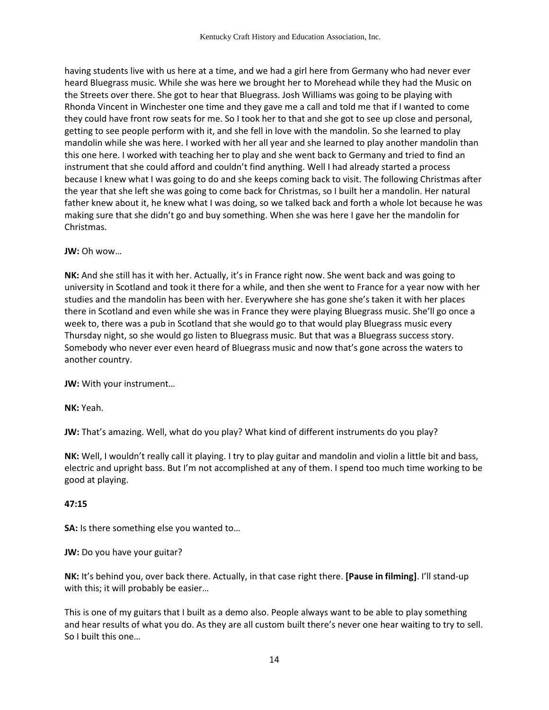having students live with us here at a time, and we had a girl here from Germany who had never ever heard Bluegrass music. While she was here we brought her to Morehead while they had the Music on the Streets over there. She got to hear that Bluegrass. Josh Williams was going to be playing with Rhonda Vincent in Winchester one time and they gave me a call and told me that if I wanted to come they could have front row seats for me. So I took her to that and she got to see up close and personal, getting to see people perform with it, and she fell in love with the mandolin. So she learned to play mandolin while she was here. I worked with her all year and she learned to play another mandolin than this one here. I worked with teaching her to play and she went back to Germany and tried to find an instrument that she could afford and couldn't find anything. Well I had already started a process because I knew what I was going to do and she keeps coming back to visit. The following Christmas after the year that she left she was going to come back for Christmas, so I built her a mandolin. Her natural father knew about it, he knew what I was doing, so we talked back and forth a whole lot because he was making sure that she didn't go and buy something. When she was here I gave her the mandolin for Christmas.

#### **JW:** Oh wow…

**NK:** And she still has it with her. Actually, it's in France right now. She went back and was going to university in Scotland and took it there for a while, and then she went to France for a year now with her studies and the mandolin has been with her. Everywhere she has gone she's taken it with her places there in Scotland and even while she was in France they were playing Bluegrass music. She'll go once a week to, there was a pub in Scotland that she would go to that would play Bluegrass music every Thursday night, so she would go listen to Bluegrass music. But that was a Bluegrass success story. Somebody who never ever even heard of Bluegrass music and now that's gone across the waters to another country.

**JW:** With your instrument…

**NK:** Yeah.

**JW:** That's amazing. Well, what do you play? What kind of different instruments do you play?

**NK:** Well, I wouldn't really call it playing. I try to play guitar and mandolin and violin a little bit and bass, electric and upright bass. But I'm not accomplished at any of them. I spend too much time working to be good at playing.

### **47:15**

**SA:** Is there something else you wanted to…

**JW:** Do you have your guitar?

**NK:** It's behind you, over back there. Actually, in that case right there. **[Pause in filming]**. I'll stand-up with this; it will probably be easier…

This is one of my guitars that I built as a demo also. People always want to be able to play something and hear results of what you do. As they are all custom built there's never one hear waiting to try to sell. So I built this one…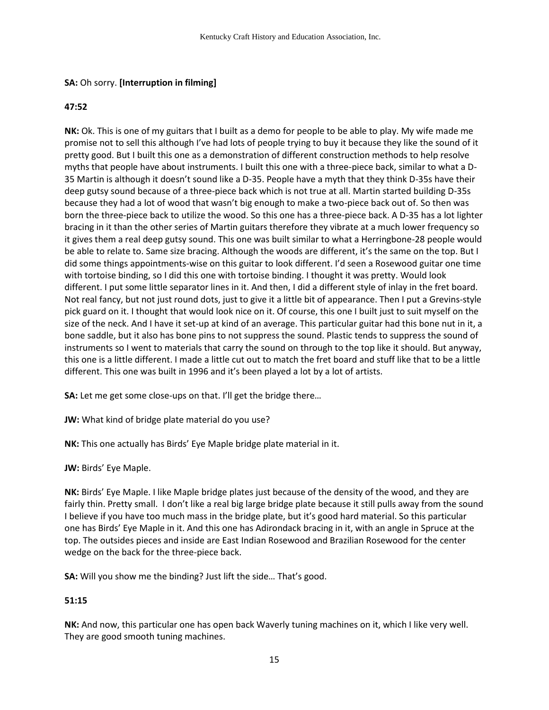## **SA:** Oh sorry. **[Interruption in filming]**

### **47:52**

**NK:** Ok. This is one of my guitars that I built as a demo for people to be able to play. My wife made me promise not to sell this although I've had lots of people trying to buy it because they like the sound of it pretty good. But I built this one as a demonstration of different construction methods to help resolve myths that people have about instruments. I built this one with a three-piece back, similar to what a D-35 Martin is although it doesn't sound like a D-35. People have a myth that they think D-35s have their deep gutsy sound because of a three-piece back which is not true at all. Martin started building D-35s because they had a lot of wood that wasn't big enough to make a two-piece back out of. So then was born the three-piece back to utilize the wood. So this one has a three-piece back. A D-35 has a lot lighter bracing in it than the other series of Martin guitars therefore they vibrate at a much lower frequency so it gives them a real deep gutsy sound. This one was built similar to what a Herringbone-28 people would be able to relate to. Same size bracing. Although the woods are different, it's the same on the top. But I did some things appointments-wise on this guitar to look different. I'd seen a Rosewood guitar one time with tortoise binding, so I did this one with tortoise binding. I thought it was pretty. Would look different. I put some little separator lines in it. And then, I did a different style of inlay in the fret board. Not real fancy, but not just round dots, just to give it a little bit of appearance. Then I put a Grevins-style pick guard on it. I thought that would look nice on it. Of course, this one I built just to suit myself on the size of the neck. And I have it set-up at kind of an average. This particular guitar had this bone nut in it, a bone saddle, but it also has bone pins to not suppress the sound. Plastic tends to suppress the sound of instruments so I went to materials that carry the sound on through to the top like it should. But anyway, this one is a little different. I made a little cut out to match the fret board and stuff like that to be a little different. This one was built in 1996 and it's been played a lot by a lot of artists.

**SA:** Let me get some close-ups on that. I'll get the bridge there...

**JW:** What kind of bridge plate material do you use?

**NK:** This one actually has Birds' Eye Maple bridge plate material in it.

**JW:** Birds' Eye Maple.

**NK:** Birds' Eye Maple. I like Maple bridge plates just because of the density of the wood, and they are fairly thin. Pretty small. I don't like a real big large bridge plate because it still pulls away from the sound I believe if you have too much mass in the bridge plate, but it's good hard material. So this particular one has Birds' Eye Maple in it. And this one has Adirondack bracing in it, with an angle in Spruce at the top. The outsides pieces and inside are East Indian Rosewood and Brazilian Rosewood for the center wedge on the back for the three-piece back.

**SA:** Will you show me the binding? Just lift the side… That's good.

# **51:15**

**NK:** And now, this particular one has open back Waverly tuning machines on it, which I like very well. They are good smooth tuning machines.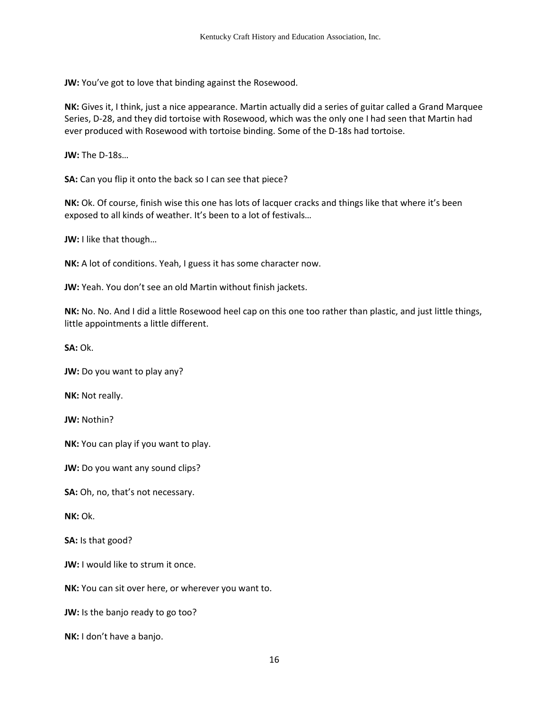**JW:** You've got to love that binding against the Rosewood.

**NK:** Gives it, I think, just a nice appearance. Martin actually did a series of guitar called a Grand Marquee Series, D-28, and they did tortoise with Rosewood, which was the only one I had seen that Martin had ever produced with Rosewood with tortoise binding. Some of the D-18s had tortoise.

**JW:** The D-18s…

**SA:** Can you flip it onto the back so I can see that piece?

**NK:** Ok. Of course, finish wise this one has lots of lacquer cracks and things like that where it's been exposed to all kinds of weather. It's been to a lot of festivals…

**JW:** I like that though…

**NK:** A lot of conditions. Yeah, I guess it has some character now.

**JW:** Yeah. You don't see an old Martin without finish jackets.

**NK:** No. No. And I did a little Rosewood heel cap on this one too rather than plastic, and just little things, little appointments a little different.

**SA:** Ok.

**JW:** Do you want to play any?

**NK:** Not really.

**JW:** Nothin?

**NK:** You can play if you want to play.

**JW:** Do you want any sound clips?

**SA:** Oh, no, that's not necessary.

**NK:** Ok.

**SA:** Is that good?

**JW:** I would like to strum it once.

**NK:** You can sit over here, or wherever you want to.

**JW:** Is the banjo ready to go too?

**NK:** I don't have a banjo.